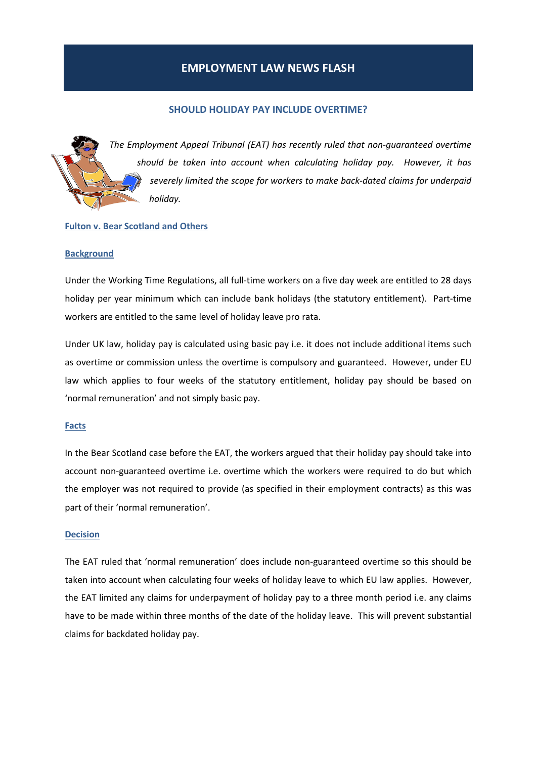# EMPLOYMENT LAW NEWS FLASH

# SHOULD HOLIDAY PAY INCLUDE OVERTIME?

The Employment Appeal Tribunal (EAT) has recently ruled that non-guaranteed overtime should be taken into account when calculating holiday pay. However, it has severely limited the scope for workers to make back-dated claims for underpaid holiday.

## Fulton v. Bear Scotland and Others

#### **Background**

Under the Working Time Regulations, all full-time workers on a five day week are entitled to 28 days holiday per year minimum which can include bank holidays (the statutory entitlement). Part-time workers are entitled to the same level of holiday leave pro rata.

Under UK law, holiday pay is calculated using basic pay i.e. it does not include additional items such as overtime or commission unless the overtime is compulsory and guaranteed. However, under EU law which applies to four weeks of the statutory entitlement, holiday pay should be based on 'normal remuneration' and not simply basic pay.

#### Facts

In the Bear Scotland case before the EAT, the workers argued that their holiday pay should take into account non-guaranteed overtime i.e. overtime which the workers were required to do but which the employer was not required to provide (as specified in their employment contracts) as this was part of their 'normal remuneration'.

#### Decision

The EAT ruled that 'normal remuneration' does include non-guaranteed overtime so this should be taken into account when calculating four weeks of holiday leave to which EU law applies. However, the EAT limited any claims for underpayment of holiday pay to a three month period i.e. any claims have to be made within three months of the date of the holiday leave. This will prevent substantial claims for backdated holiday pay.